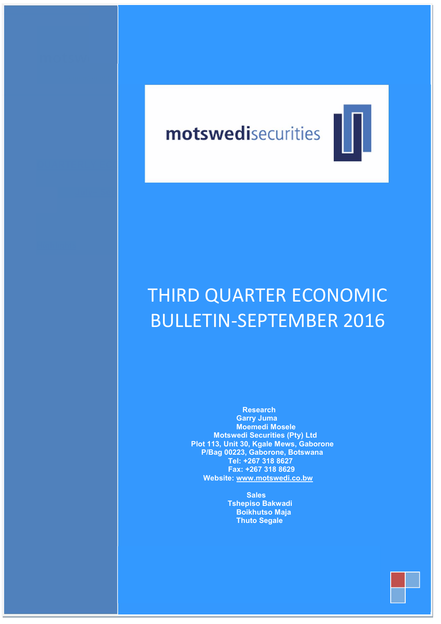$S_{\rm 201}$  affirms  $201$  so  $201$  so  $201$  source in the source in the source in the source in the source in the source in the source in the source in the source in the source in the source in the source in the source in

QUARTERLY ECONOMIC BULLETIN

# THIRD QUARTER ECONOMIC BULLETIN-SEPTEMBER 2016

 Research Garry Juma Moemedi Mosele Motswedi Securities (Pty) Ltd Plot 113, Unit 30, Kgale Mews, Gaborone P/Bag 00223, Gaborone, Botswana Tel: +267 318 8627 Fax: +267 318 8629 Website: www.motswedi.co.bw

> **Sales**  Tshepiso Bakwadi Boikhutso Maja Thuto Segale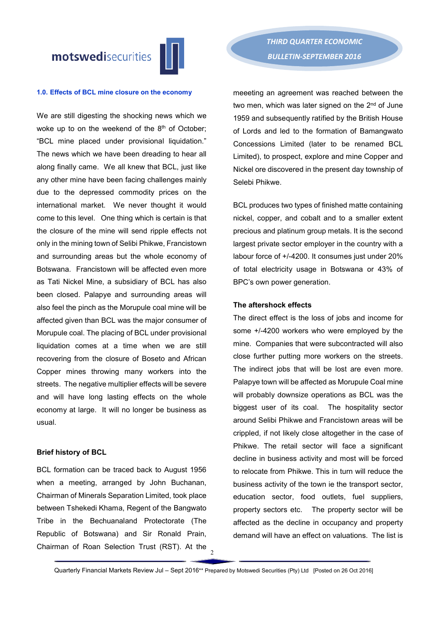

## 1.0. Effects of BCL mine closure on the economy

We are still digesting the shocking news which we woke up to on the weekend of the 8<sup>th</sup> of October; "BCL mine placed under provisional liquidation." The news which we have been dreading to hear all along finally came. We all knew that BCL, just like any other mine have been facing challenges mainly due to the depressed commodity prices on the international market. We never thought it would come to this level. One thing which is certain is that the closure of the mine will send ripple effects not only in the mining town of Selibi Phikwe, Francistown and surrounding areas but the whole economy of Botswana. Francistown will be affected even more as Tati Nickel Mine, a subsidiary of BCL has also been closed. Palapye and surrounding areas will also feel the pinch as the Morupule coal mine will be affected given than BCL was the major consumer of Morupule coal. The placing of BCL under provisional liquidation comes at a time when we are still recovering from the closure of Boseto and African Copper mines throwing many workers into the streets. The negative multiplier effects will be severe and will have long lasting effects on the whole economy at large. It will no longer be business as usual.

## Brief history of BCL

Chairman of Roan Selection Trust (RST). At the  $\frac{2}{2}$ BCL formation can be traced back to August 1956 when a meeting, arranged by John Buchanan, Chairman of Minerals Separation Limited, took place between Tshekedi Khama, Regent of the Bangwato Tribe in the Bechuanaland Protectorate (The Republic of Botswana) and Sir Ronald Prain,

meeeting an agreement was reached between the two men, which was later signed on the 2<sup>nd</sup> of June 1959 and subsequently ratified by the British House of Lords and led to the formation of Bamangwato Concessions Limited (later to be renamed BCL Limited), to prospect, explore and mine Copper and Nickel ore discovered in the present day township of Selebi Phikwe.

BCL produces two types of finished matte containing nickel, copper, and cobalt and to a smaller extent precious and platinum group metals. It is the second largest private sector employer in the country with a labour force of +/-4200. It consumes just under 20% of total electricity usage in Botswana or 43% of BPC's own power generation.

## The aftershock effects

The direct effect is the loss of jobs and income for some +/-4200 workers who were employed by the mine. Companies that were subcontracted will also close further putting more workers on the streets. The indirect jobs that will be lost are even more. Palapye town will be affected as Morupule Coal mine will probably downsize operations as BCL was the biggest user of its coal. The hospitality sector around Selibi Phikwe and Francistown areas will be crippled, if not likely close altogether in the case of Phikwe. The retail sector will face a significant decline in business activity and most will be forced to relocate from Phikwe. This in turn will reduce the business activity of the town ie the transport sector, education sector, food outlets, fuel suppliers, property sectors etc. The property sector will be affected as the decline in occupancy and property demand will have an effect on valuations. The list is

Quarterly Financial Markets Review Jul – Sept 2016\*\* Prepared by Motswedi Securities (Pty) Ltd [Posted on 26 Oct 2016]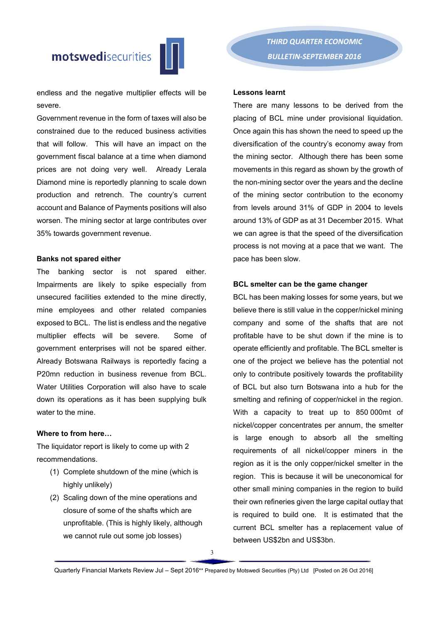

endless and the negative multiplier effects will be severe.

Government revenue in the form of taxes will also be constrained due to the reduced business activities that will follow. This will have an impact on the government fiscal balance at a time when diamond prices are not doing very well. Already Lerala Diamond mine is reportedly planning to scale down production and retrench. The country's current account and Balance of Payments positions will also worsen. The mining sector at large contributes over 35% towards government revenue.

#### Banks not spared either

The banking sector is not spared either. Impairments are likely to spike especially from unsecured facilities extended to the mine directly, mine employees and other related companies exposed to BCL. The list is endless and the negative multiplier effects will be severe. Some of government enterprises will not be spared either. Already Botswana Railways is reportedly facing a P20mn reduction in business revenue from BCL. Water Utilities Corporation will also have to scale down its operations as it has been supplying bulk water to the mine.

## Where to from here…

The liquidator report is likely to come up with 2 recommendations.

- (1) Complete shutdown of the mine (which is highly unlikely)
- (2) Scaling down of the mine operations and closure of some of the shafts which are unprofitable. (This is highly likely, although we cannot rule out some job losses)

#### Lessons learnt

There are many lessons to be derived from the placing of BCL mine under provisional liquidation. Once again this has shown the need to speed up the diversification of the country's economy away from the mining sector. Although there has been some movements in this regard as shown by the growth of the non-mining sector over the years and the decline of the mining sector contribution to the economy from levels around 31% of GDP in 2004 to levels around 13% of GDP as at 31 December 2015. What we can agree is that the speed of the diversification process is not moving at a pace that we want. The pace has been slow.

### BCL smelter can be the game changer

BCL has been making losses for some years, but we believe there is still value in the copper/nickel mining company and some of the shafts that are not profitable have to be shut down if the mine is to operate efficiently and profitable. The BCL smelter is one of the project we believe has the potential not only to contribute positively towards the profitability of BCL but also turn Botswana into a hub for the smelting and refining of copper/nickel in the region. With a capacity to treat up to 850 000mt of nickel/copper concentrates per annum, the smelter is large enough to absorb all the smelting requirements of all nickel/copper miners in the region as it is the only copper/nickel smelter in the region. This is because it will be uneconomical for other small mining companies in the region to build their own refineries given the large capital outlay that is required to build one. It is estimated that the current BCL smelter has a replacement value of between US\$2bn and US\$3bn.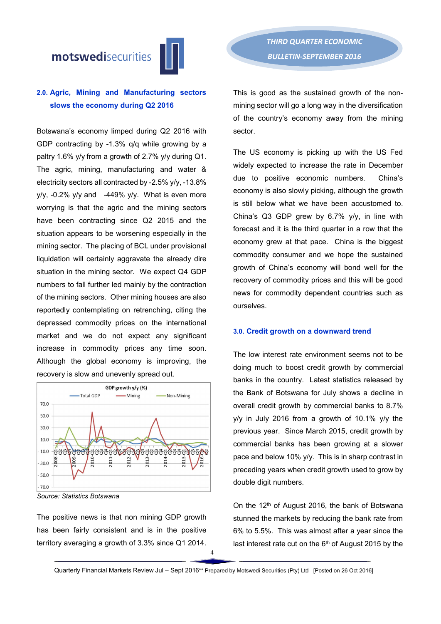

# 2.0. Agric, Mining and Manufacturing sectors slows the economy during Q2 2016

Botswana's economy limped during Q2 2016 with GDP contracting by -1.3% q/q while growing by a paltry 1.6% y/y from a growth of 2.7% y/y during Q1. The agric, mining, manufacturing and water & electricity sectors all contracted by -2.5% y/y, -13.8% y/y, -0.2% y/y and -449% y/y. What is even more worrying is that the agric and the mining sectors have been contracting since Q2 2015 and the situation appears to be worsening especially in the mining sector. The placing of BCL under provisional liquidation will certainly aggravate the already dire situation in the mining sector. We expect Q4 GDP numbers to fall further led mainly by the contraction of the mining sectors. Other mining houses are also reportedly contemplating on retrenching, citing the depressed commodity prices on the international market and we do not expect any significant increase in commodity prices any time soon. Although the global economy is improving, the recovery is slow and unevenly spread out.



*Source: Statistics Botswana*

The positive news is that non mining GDP growth has been fairly consistent and is in the positive territory averaging a growth of 3.3% since Q1 2014.

This is good as the sustained growth of the nonmining sector will go a long way in the diversification of the country's economy away from the mining sector.

The US economy is picking up with the US Fed widely expected to increase the rate in December due to positive economic numbers. China's economy is also slowly picking, although the growth is still below what we have been accustomed to. China's Q3 GDP grew by 6.7% y/y, in line with forecast and it is the third quarter in a row that the economy grew at that pace. China is the biggest commodity consumer and we hope the sustained growth of China's economy will bond well for the recovery of commodity prices and this will be good news for commodity dependent countries such as ourselves.

#### 3.0. Credit growth on a downward trend

The low interest rate environment seems not to be doing much to boost credit growth by commercial banks in the country. Latest statistics released by the Bank of Botswana for July shows a decline in overall credit growth by commercial banks to 8.7% y/y in July 2016 from a growth of 10.1% y/y the previous year. Since March 2015, credit growth by commercial banks has been growing at a slower pace and below 10% y/y. This is in sharp contrast in preceding years when credit growth used to grow by double digit numbers.

On the 12th of August 2016, the bank of Botswana stunned the markets by reducing the bank rate from 6% to 5.5%. This was almost after a year since the last interest rate cut on the  $6<sup>th</sup>$  of August 2015 by the

Quarterly Financial Markets Review Jul – Sept 2016\*\* Prepared by Motswedi Securities (Pty) Ltd [Posted on 26 Oct 2016]

4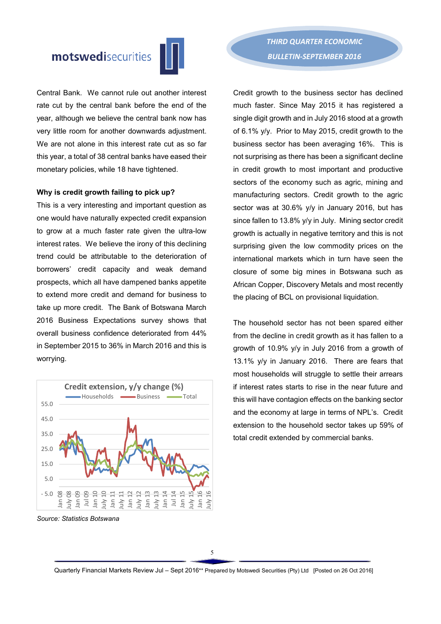

Central Bank. We cannot rule out another interest rate cut by the central bank before the end of the year, although we believe the central bank now has very little room for another downwards adjustment. We are not alone in this interest rate cut as so far this year, a total of 38 central banks have eased their monetary policies, while 18 have tightened.

#### Why is credit growth failing to pick up?

This is a very interesting and important question as one would have naturally expected credit expansion to grow at a much faster rate given the ultra-low interest rates. We believe the irony of this declining trend could be attributable to the deterioration of borrowers' credit capacity and weak demand prospects, which all have dampened banks appetite to extend more credit and demand for business to take up more credit. The Bank of Botswana March 2016 Business Expectations survey shows that overall business confidence deteriorated from 44% in September 2015 to 36% in March 2016 and this is worrying.



*Source: Statistics Botswana*

*THIRD QUARTER ECONOMIC BULLETIN-SEPTEMBER 2016*

Credit growth to the business sector has declined much faster. Since May 2015 it has registered a single digit growth and in July 2016 stood at a growth of 6.1% y/y. Prior to May 2015, credit growth to the business sector has been averaging 16%. This is not surprising as there has been a significant decline in credit growth to most important and productive sectors of the economy such as agric, mining and manufacturing sectors. Credit growth to the agric sector was at 30.6% y/y in January 2016, but has since fallen to 13.8% y/y in July. Mining sector credit growth is actually in negative territory and this is not surprising given the low commodity prices on the international markets which in turn have seen the closure of some big mines in Botswana such as African Copper, Discovery Metals and most recently the placing of BCL on provisional liquidation.

The household sector has not been spared either from the decline in credit growth as it has fallen to a growth of 10.9% y/y in July 2016 from a growth of 13.1% y/y in January 2016. There are fears that most households will struggle to settle their arrears if interest rates starts to rise in the near future and this will have contagion effects on the banking sector and the economy at large in terms of NPL's. Credit extension to the household sector takes up 59% of total credit extended by commercial banks.

Quarterly Financial Markets Review Jul – Sept 2016\*\* Prepared by Motswedi Securities (Pty) Ltd [Posted on 26 Oct 2016]

<sup>5</sup>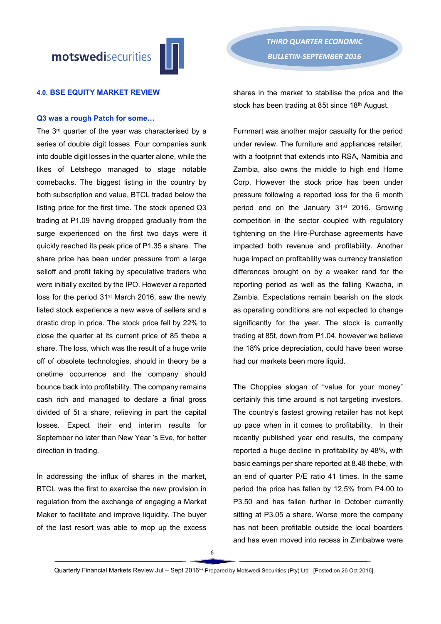#### 4.0. BSE EQUITY MARKET REVIEW

#### Q3 was a rough Patch for some…

The 3<sup>rd</sup> quarter of the year was characterised by a series of double digit losses. Four companies sunk into double digit losses in the quarter alone, while the likes of Letshego managed to stage notable comebacks. The biggest listing in the country by both subscription and value, BTCL traded below the listing price for the first time. The stock opened Q3 trading at P1.09 having dropped gradually from the surge experienced on the first two days were it quickly reached its peak price of P1.35 a share. The share price has been under pressure from a large selloff and profit taking by speculative traders who were initially excited by the IPO. However a reported loss for the period 31st March 2016, saw the newly listed stock experience a new wave of sellers and a drastic drop in price. The stock price fell by 22% to close the quarter at its current price of 85 thebe a share. The loss, which was the result of a huge write off of obsolete technologies, should in theory be a onetime occurrence and the company should bounce back into profitability. The company remains cash rich and managed to declare a final gross divided of 5t a share, relieving in part the capital losses. Expect their end interim results for September no later than New Year 's Eve, for better direction in trading.

In addressing the influx of shares in the market, BTCL was the first to exercise the new provision in regulation from the exchange of engaging a Market Maker to facilitate and improve liquidity. The buyer of the last resort was able to mop up the excess

*THIRD QUARTER ECONOMIC BULLETIN-SEPTEMBER 2016*

shares in the market to stabilise the price and the stock has been trading at 85t since 18th August.

Furnmart was another major casualty for the period under review. The furniture and appliances retailer, with a footprint that extends into RSA, Namibia and Zambia, also owns the middle to high end Home Corp. However the stock price has been under pressure following a reported loss for the 6 month period end on the January 31<sup>st</sup> 2016. Growing competition in the sector coupled with regulatory tightening on the Hire-Purchase agreements have impacted both revenue and profitability. Another huge impact on profitability was currency translation differences brought on by a weaker rand for the reporting period as well as the falling Kwacha, in Zambia. Expectations remain bearish on the stock as operating conditions are not expected to change significantly for the year. The stock is currently trading at 85t, down from P1.04, however we believe the 18% price depreciation, could have been worse had our markets been more liquid.

The Choppies slogan of "value for your money" certainly this time around is not targeting investors. The country's fastest growing retailer has not kept up pace when in it comes to profitability. In their recently published year end results, the company reported a huge decline in profitability by 48%, with basic earnings per share reported at 8.48 thebe, with an end of quarter P/E ratio 41 times. In the same period the price has fallen by 12.5% from P4.00 to P3.50 and has fallen further in October currently sitting at P3.05 a share. Worse more the company has not been profitable outside the local boarders and has even moved into recess in Zimbabwe were

Quarterly Financial Markets Review Jul – Sept 2016\*\* Prepared by Motswedi Securities (Pty) Ltd [Posted on 26 Oct 2016]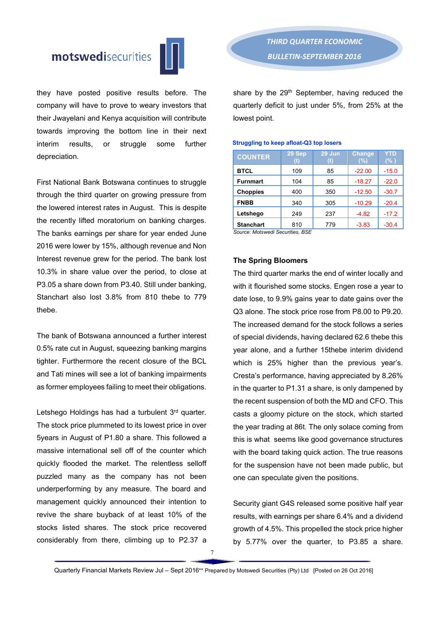

they have posted positive results before. The company will have to prove to weary investors that their Jwayelani and Kenya acquisition will contribute towards improving the bottom line in their next interim results, or struggle some further depreciation.

First National Bank Botswana continues to struggle through the third quarter on growing pressure from the lowered interest rates in August. This is despite the recently lifted moratorium on banking charges. The banks earnings per share for year ended June 2016 were lower by 15%, although revenue and Non Interest revenue grew for the period. The bank lost 10.3% in share value over the period, to close at P3.05 a share down from P3.40. Still under banking, Stanchart also lost 3.8% from 810 thebe to 779 thebe.

The bank of Botswana announced a further interest 0.5% rate cut in August, squeezing banking margins tighter. Furthermore the recent closure of the BCL and Tati mines will see a lot of banking impairments as former employees failing to meet their obligations.

Letshego Holdings has had a turbulent 3rd quarter. The stock price plummeted to its lowest price in over 5years in August of P1.80 a share. This followed a massive international sell off of the counter which quickly flooded the market. The relentless selloff puzzled many as the company has not been underperforming by any measure. The board and management quickly announced their intention to revive the share buyback of at least 10% of the stocks listed shares. The stock price recovered considerably from there, climbing up to P2.37 a

*THIRD QUARTER ECONOMIC BULLETIN-SEPTEMBER 2016*

share by the 29<sup>th</sup> September, having reduced the quarterly deficit to just under 5%, from 25% at the lowest point.

#### Struggling to keep afloat-Q3 top losers

| <b>COUNTER</b>   | 29 Sep | 29 Jun | <b>Change</b><br>(%) | YTD<br>$(\% )$ |
|------------------|--------|--------|----------------------|----------------|
| <b>BTCL</b>      | 109    | 85     | $-22.00$             | $-15.0$        |
| <b>Furnmart</b>  | 104    | 85     | $-18.27$             | $-22.0$        |
| <b>Choppies</b>  | 400    | 350    | $-12.50$             | $-30.7$        |
| <b>FNBB</b>      | 340    | 305    | $-10.29$             | $-20.4$        |
| Letshego         | 249    | 237    | $-4.82$              | $-17.2$        |
| <b>Stanchart</b> | 810    | 779    | $-3.83$              | $-30.4$        |

*Source: Motswedi Securities, BSE*

#### The Spring Bloomers

The third quarter marks the end of winter locally and with it flourished some stocks. Engen rose a year to date lose, to 9.9% gains year to date gains over the Q3 alone. The stock price rose from P8.00 to P9.20. The increased demand for the stock follows a series of special dividends, having declared 62.6 thebe this year alone, and a further 15thebe interim dividend which is 25% higher than the previous year's. Cresta's performance, having appreciated by 8.26% in the quarter to P1.31 a share, is only dampened by the recent suspension of both the MD and CFO. This casts a gloomy picture on the stock, which started the year trading at 86t. The only solace coming from this is what seems like good governance structures with the board taking quick action. The true reasons for the suspension have not been made public, but one can speculate given the positions.

Security giant G4S released some positive half year results, with earnings per share 6.4% and a dividend growth of 4.5%. This propelled the stock price higher by 5.77% over the quarter, to P3.85 a share.

Quarterly Financial Markets Review Jul – Sept 2016\*\* Prepared by Motswedi Securities (Pty) Ltd [Posted on 26 Oct 2016]

7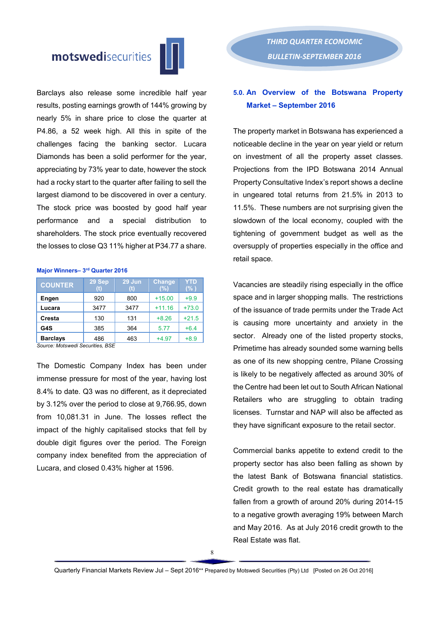

Barclays also release some incredible half year results, posting earnings growth of 144% growing by nearly 5% in share price to close the quarter at P4.86, a 52 week high. All this in spite of the challenges facing the banking sector. Lucara Diamonds has been a solid performer for the year, appreciating by 73% year to date, however the stock had a rocky start to the quarter after failing to sell the largest diamond to be discovered in over a century. The stock price was boosted by good half year performance and a special distribution to shareholders. The stock price eventually recovered the losses to close Q3 11% higher at P34.77 a share.

#### Major Winners– 3rd Quarter 2016

| <b>COUNTER</b>  | 29 Sep<br>(t) | 29 Jun<br>(t) | <b>Change</b><br>(%) | <b>YTD</b><br>(% ) |
|-----------------|---------------|---------------|----------------------|--------------------|
| Engen           | 920           | 800           | $+15.00$             | $+9.9$             |
| Lucara          | 3477          | 3477          | $+11.16$             | $+73.0$            |
| Cresta          | 130           | 131           | $+8.26$              | $+21.5$            |
| G4S             | 385           | 364           | 5.77                 | $+6.4$             |
| <b>Barclays</b> | 486           | 463           | $+4.97$              | $+8.9$             |

*Source: Motswedi Securities, BSE*

The Domestic Company Index has been under immense pressure for most of the year, having lost 8.4% to date. Q3 was no different, as it depreciated by 3.12% over the period to close at 9,766.95, down from 10,081.31 in June. The losses reflect the impact of the highly capitalised stocks that fell by double digit figures over the period. The Foreign company index benefited from the appreciation of Lucara, and closed 0.43% higher at 1596.

*THIRD QUARTER ECONOMIC BULLETIN-SEPTEMBER 2016*

# 5.0. An Overview of the Botswana Property Market – September 2016

The property market in Botswana has experienced a noticeable decline in the year on year yield or return on investment of all the property asset classes. Projections from the IPD Botswana 2014 Annual Property Consultative Index's report shows a decline in ungeared total returns from 21.5% in 2013 to 11.5%. These numbers are not surprising given the slowdown of the local economy, coupled with the tightening of government budget as well as the oversupply of properties especially in the office and retail space.

Vacancies are steadily rising especially in the office space and in larger shopping malls. The restrictions of the issuance of trade permits under the Trade Act is causing more uncertainty and anxiety in the sector. Already one of the listed property stocks, Primetime has already sounded some warning bells as one of its new shopping centre, Pilane Crossing is likely to be negatively affected as around 30% of the Centre had been let out to South African National Retailers who are struggling to obtain trading licenses. Turnstar and NAP will also be affected as they have significant exposure to the retail sector.

Commercial banks appetite to extend credit to the property sector has also been falling as shown by the latest Bank of Botswana financial statistics. Credit growth to the real estate has dramatically fallen from a growth of around 20% during 2014-15 to a negative growth averaging 19% between March and May 2016. As at July 2016 credit growth to the Real Estate was flat.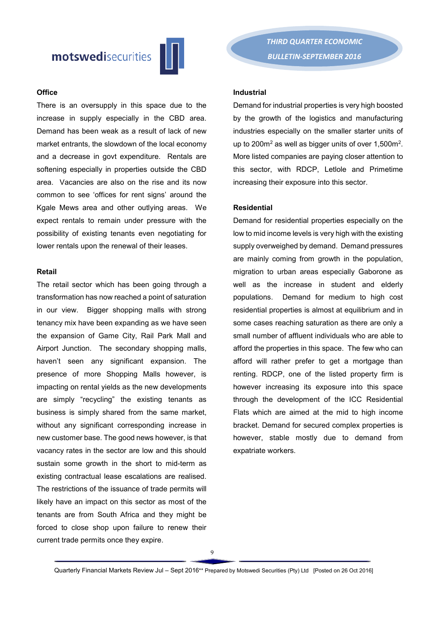

## **Office**

There is an oversupply in this space due to the increase in supply especially in the CBD area. Demand has been weak as a result of lack of new market entrants, the slowdown of the local economy and a decrease in govt expenditure. Rentals are softening especially in properties outside the CBD area. Vacancies are also on the rise and its now common to see 'offices for rent signs' around the Kgale Mews area and other outlying areas. We expect rentals to remain under pressure with the possibility of existing tenants even negotiating for lower rentals upon the renewal of their leases.

#### Retail

The retail sector which has been going through a transformation has now reached a point of saturation in our view. Bigger shopping malls with strong tenancy mix have been expanding as we have seen the expansion of Game City, Rail Park Mall and Airport Junction. The secondary shopping malls, haven't seen any significant expansion. The presence of more Shopping Malls however, is impacting on rental yields as the new developments are simply "recycling" the existing tenants as business is simply shared from the same market, without any significant corresponding increase in new customer base. The good news however, is that vacancy rates in the sector are low and this should sustain some growth in the short to mid-term as existing contractual lease escalations are realised. The restrictions of the issuance of trade permits will likely have an impact on this sector as most of the tenants are from South Africa and they might be forced to close shop upon failure to renew their current trade permits once they expire.

#### Industrial

Demand for industrial properties is very high boosted by the growth of the logistics and manufacturing industries especially on the smaller starter units of up to 200m<sup>2</sup> as well as bigger units of over 1,500m<sup>2</sup>. More listed companies are paying closer attention to this sector, with RDCP, Letlole and Primetime increasing their exposure into this sector.

## Residential

Demand for residential properties especially on the low to mid income levels is very high with the existing supply overweighed by demand. Demand pressures are mainly coming from growth in the population, migration to urban areas especially Gaborone as well as the increase in student and elderly populations. Demand for medium to high cost residential properties is almost at equilibrium and in some cases reaching saturation as there are only a small number of affluent individuals who are able to afford the properties in this space. The few who can afford will rather prefer to get a mortgage than renting. RDCP, one of the listed property firm is however increasing its exposure into this space through the development of the ICC Residential Flats which are aimed at the mid to high income bracket. Demand for secured complex properties is however, stable mostly due to demand from expatriate workers.

Quarterly Financial Markets Review Jul – Sept 2016\*\* Prepared by Motswedi Securities (Pty) Ltd [Posted on 26 Oct 2016]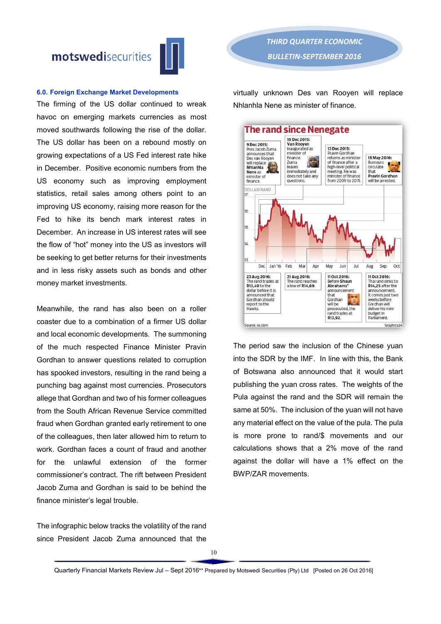



#### 6.0. Foreign Exchange Market Developments

The firming of the US dollar continued to wreak havoc on emerging markets currencies as most moved southwards following the rise of the dollar. The US dollar has been on a rebound mostly on growing expectations of a US Fed interest rate hike in December. Positive economic numbers from the US economy such as improving employment statistics, retail sales among others point to an improving US economy, raising more reason for the Fed to hike its bench mark interest rates in December. An increase in US interest rates will see the flow of "hot" money into the US as investors will be seeking to get better returns for their investments and in less risky assets such as bonds and other money market investments.

Meanwhile, the rand has also been on a roller coaster due to a combination of a firmer US dollar and local economic developments. The summoning of the much respected Finance Minister Pravin Gordhan to answer questions related to corruption has spooked investors, resulting in the rand being a punching bag against most currencies. Prosecutors allege that Gordhan and two of his former colleagues from the South African Revenue Service committed fraud when Gordhan granted early retirement to one of the colleagues, then later allowed him to return to work. Gordhan faces a count of fraud and another for the unlawful extension of the former commissioner's contract. The rift between President Jacob Zuma and Gordhan is said to be behind the finance minister's legal trouble.

The infographic below tracks the volatility of the rand since President Jacob Zuma announced that the *THIRD QUARTER ECONOMIC BULLETIN-SEPTEMBER 2016*

virtually unknown Des van Rooyen will replace Nhlanhla Nene as minister of finance.



The period saw the inclusion of the Chinese yuan into the SDR by the IMF. In line with this, the Bank of Botswana also announced that it would start publishing the yuan cross rates. The weights of the Pula against the rand and the SDR will remain the same at 50%. The inclusion of the yuan will not have any material effect on the value of the pula. The pula is more prone to rand/\$ movements and our calculations shows that a 2% move of the rand against the dollar will have a 1% effect on the BWP/ZAR movements.

Quarterly Financial Markets Review Jul – Sept 2016\*\* Prepared by Motswedi Securities (Pty) Ltd [Posted on 26 Oct 2016]